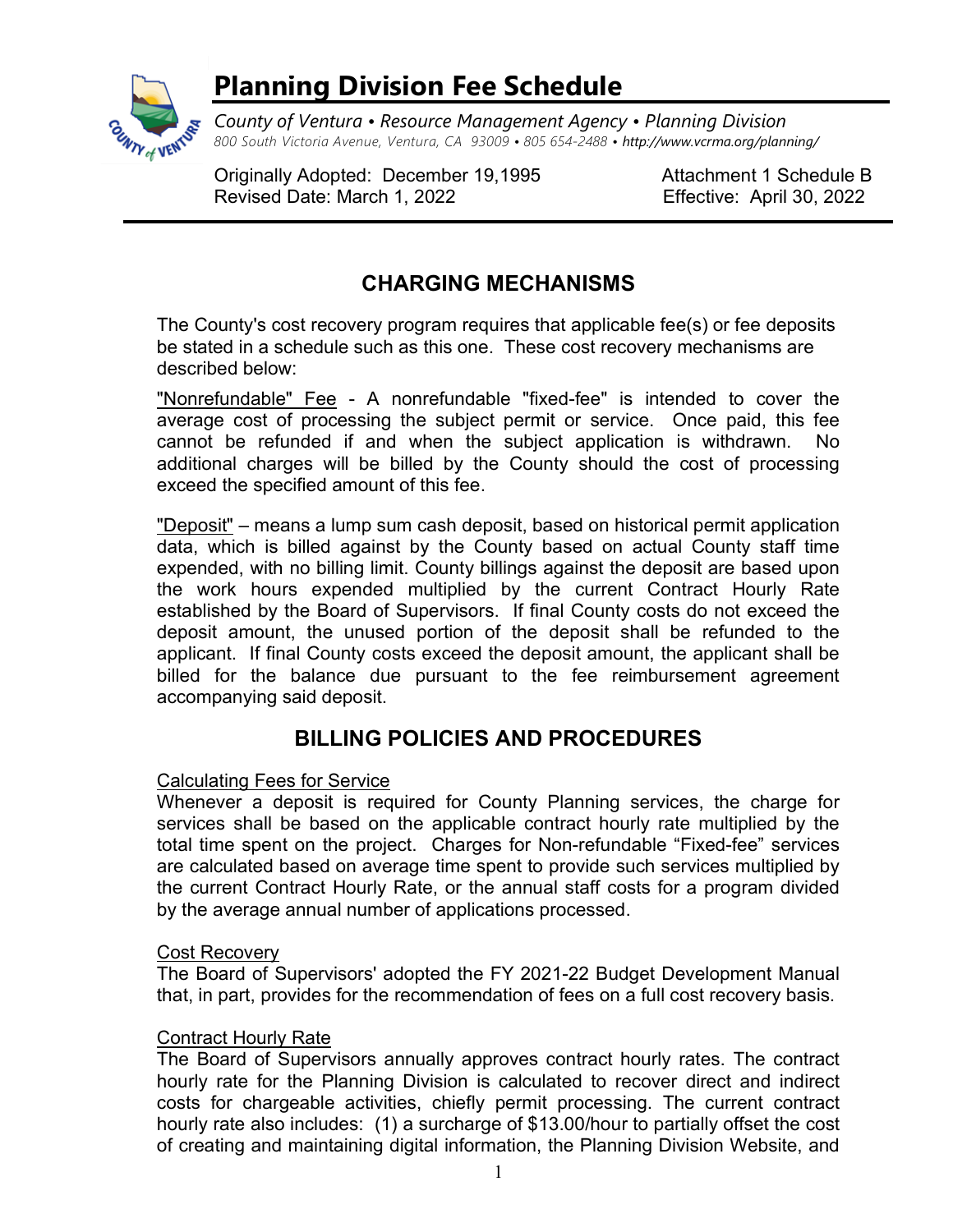

# Planning Division Fee Schedule

County of Ventura • Resource Management Agency • Planning Division 800 South Victoria Avenue, Ventura, CA 93009 • 805 654-2488 • http://www.vcrma.org/planning/

Originally Adopted: December 19,1995 Attachment 1 Schedule B Revised Date: March 1, 2022 Effective: April 30, 2022

## CHARGING MECHANISMS

The County's cost recovery program requires that applicable fee(s) or fee deposits be stated in a schedule such as this one. These cost recovery mechanisms are described below:

"Nonrefundable" Fee - A nonrefundable "fixed-fee" is intended to cover the average cost of processing the subject permit or service. Once paid, this fee cannot be refunded if and when the subject application is withdrawn. No additional charges will be billed by the County should the cost of processing exceed the specified amount of this fee.

"Deposit" – means a lump sum cash deposit, based on historical permit application data, which is billed against by the County based on actual County staff time expended, with no billing limit. County billings against the deposit are based upon the work hours expended multiplied by the current Contract Hourly Rate established by the Board of Supervisors. If final County costs do not exceed the deposit amount, the unused portion of the deposit shall be refunded to the applicant. If final County costs exceed the deposit amount, the applicant shall be billed for the balance due pursuant to the fee reimbursement agreement accompanying said deposit.

## BILLING POLICIES AND PROCEDURES

### Calculating Fees for Service

Whenever a deposit is required for County Planning services, the charge for services shall be based on the applicable contract hourly rate multiplied by the total time spent on the project. Charges for Non-refundable "Fixed-fee" services are calculated based on average time spent to provide such services multiplied by the current Contract Hourly Rate, or the annual staff costs for a program divided by the average annual number of applications processed.

### **Cost Recoverv**

The Board of Supervisors' adopted the FY 2021-22 Budget Development Manual that, in part, provides for the recommendation of fees on a full cost recovery basis.

### Contract Hourly Rate

The Board of Supervisors annually approves contract hourly rates. The contract hourly rate for the Planning Division is calculated to recover direct and indirect costs for chargeable activities, chiefly permit processing. The current contract hourly rate also includes: (1) a surcharge of \$13.00/hour to partially offset the cost of creating and maintaining digital information, the Planning Division Website, and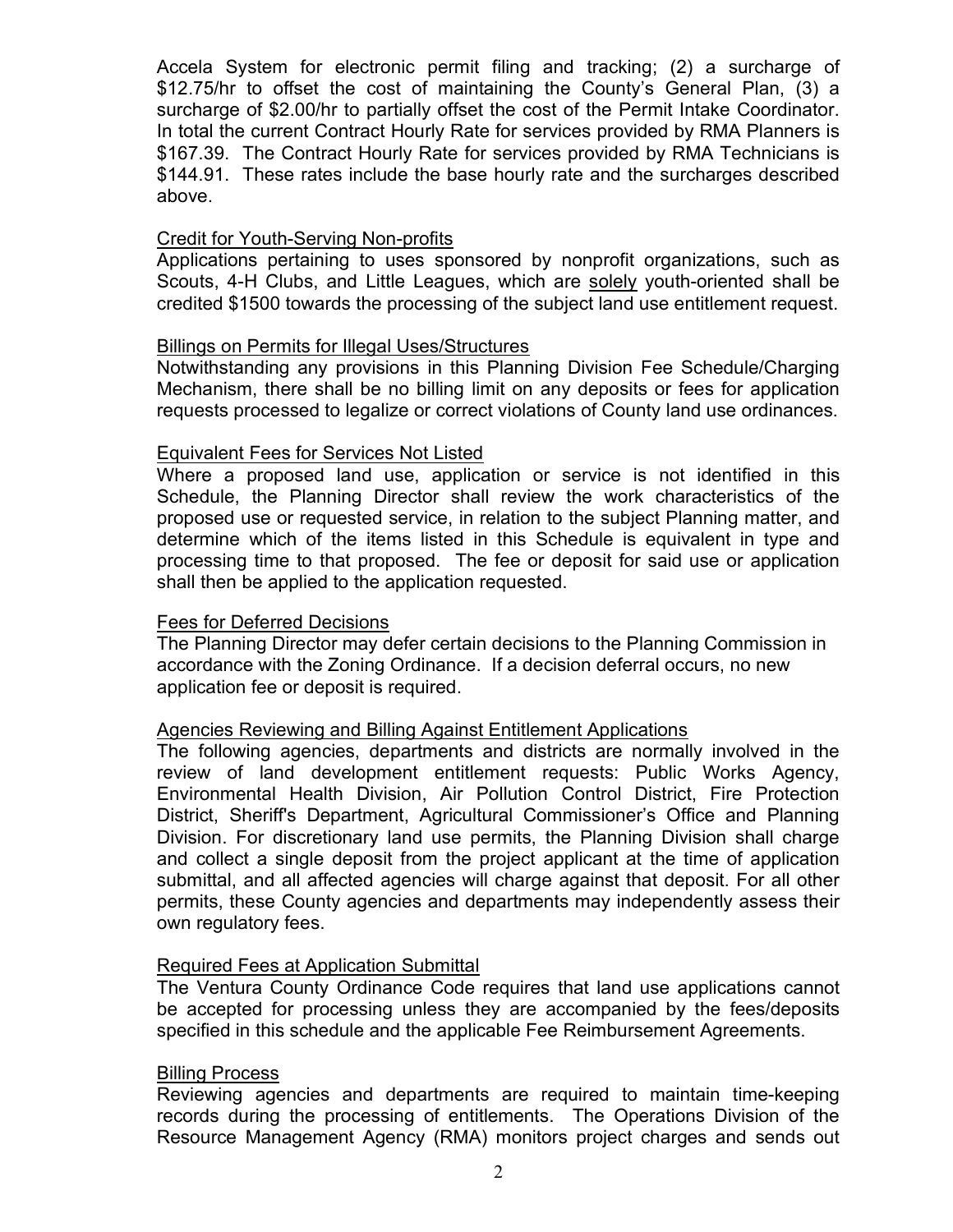Accela System for electronic permit filing and tracking; (2) a surcharge of \$12.75/hr to offset the cost of maintaining the County's General Plan, (3) a surcharge of \$2.00/hr to partially offset the cost of the Permit Intake Coordinator. In total the current Contract Hourly Rate for services provided by RMA Planners is \$167.39. The Contract Hourly Rate for services provided by RMA Technicians is \$144.91. These rates include the base hourly rate and the surcharges described above.

#### Credit for Youth-Serving Non-profits

Applications pertaining to uses sponsored by nonprofit organizations, such as Scouts, 4-H Clubs, and Little Leagues, which are solely youth-oriented shall be credited \$1500 towards the processing of the subject land use entitlement request.

#### Billings on Permits for Illegal Uses/Structures

Notwithstanding any provisions in this Planning Division Fee Schedule/Charging Mechanism, there shall be no billing limit on any deposits or fees for application requests processed to legalize or correct violations of County land use ordinances.

#### Equivalent Fees for Services Not Listed

Where a proposed land use, application or service is not identified in this Schedule, the Planning Director shall review the work characteristics of the proposed use or requested service, in relation to the subject Planning matter, and determine which of the items listed in this Schedule is equivalent in type and processing time to that proposed. The fee or deposit for said use or application shall then be applied to the application requested.

#### Fees for Deferred Decisions

The Planning Director may defer certain decisions to the Planning Commission in accordance with the Zoning Ordinance. If a decision deferral occurs, no new application fee or deposit is required.

#### Agencies Reviewing and Billing Against Entitlement Applications

The following agencies, departments and districts are normally involved in the review of land development entitlement requests: Public Works Agency, Environmental Health Division, Air Pollution Control District, Fire Protection District, Sheriff's Department, Agricultural Commissioner's Office and Planning Division. For discretionary land use permits, the Planning Division shall charge and collect a single deposit from the project applicant at the time of application submittal, and all affected agencies will charge against that deposit. For all other permits, these County agencies and departments may independently assess their own regulatory fees.

#### Required Fees at Application Submittal

The Ventura County Ordinance Code requires that land use applications cannot be accepted for processing unless they are accompanied by the fees/deposits specified in this schedule and the applicable Fee Reimbursement Agreements.

#### Billing Process

Reviewing agencies and departments are required to maintain time-keeping records during the processing of entitlements. The Operations Division of the Resource Management Agency (RMA) monitors project charges and sends out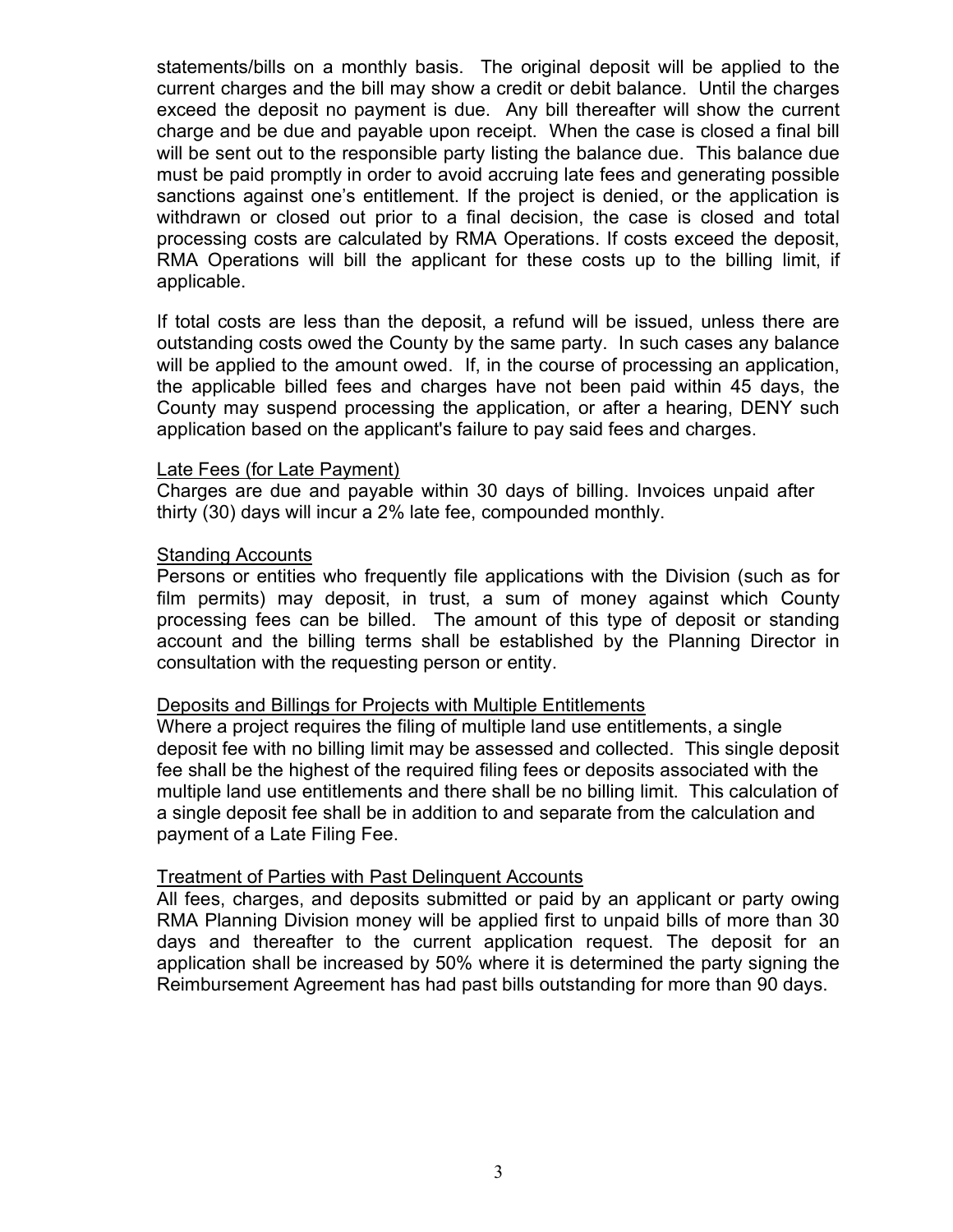statements/bills on a monthly basis. The original deposit will be applied to the current charges and the bill may show a credit or debit balance. Until the charges exceed the deposit no payment is due. Any bill thereafter will show the current charge and be due and payable upon receipt. When the case is closed a final bill will be sent out to the responsible party listing the balance due. This balance due must be paid promptly in order to avoid accruing late fees and generating possible sanctions against one's entitlement. If the project is denied, or the application is withdrawn or closed out prior to a final decision, the case is closed and total processing costs are calculated by RMA Operations. If costs exceed the deposit, RMA Operations will bill the applicant for these costs up to the billing limit, if applicable.

If total costs are less than the deposit, a refund will be issued, unless there are outstanding costs owed the County by the same party. In such cases any balance will be applied to the amount owed. If, in the course of processing an application, the applicable billed fees and charges have not been paid within 45 days, the County may suspend processing the application, or after a hearing, DENY such application based on the applicant's failure to pay said fees and charges.

#### Late Fees (for Late Payment)

Charges are due and payable within 30 days of billing. Invoices unpaid after thirty (30) days will incur a 2% late fee, compounded monthly.

#### Standing Accounts

Persons or entities who frequently file applications with the Division (such as for film permits) may deposit, in trust, a sum of money against which County processing fees can be billed. The amount of this type of deposit or standing account and the billing terms shall be established by the Planning Director in consultation with the requesting person or entity.

#### Deposits and Billings for Projects with Multiple Entitlements

Where a project requires the filing of multiple land use entitlements, a single deposit fee with no billing limit may be assessed and collected. This single deposit fee shall be the highest of the required filing fees or deposits associated with the multiple land use entitlements and there shall be no billing limit. This calculation of a single deposit fee shall be in addition to and separate from the calculation and payment of a Late Filing Fee.

#### Treatment of Parties with Past Delinquent Accounts

All fees, charges, and deposits submitted or paid by an applicant or party owing RMA Planning Division money will be applied first to unpaid bills of more than 30 days and thereafter to the current application request. The deposit for an application shall be increased by 50% where it is determined the party signing the Reimbursement Agreement has had past bills outstanding for more than 90 days.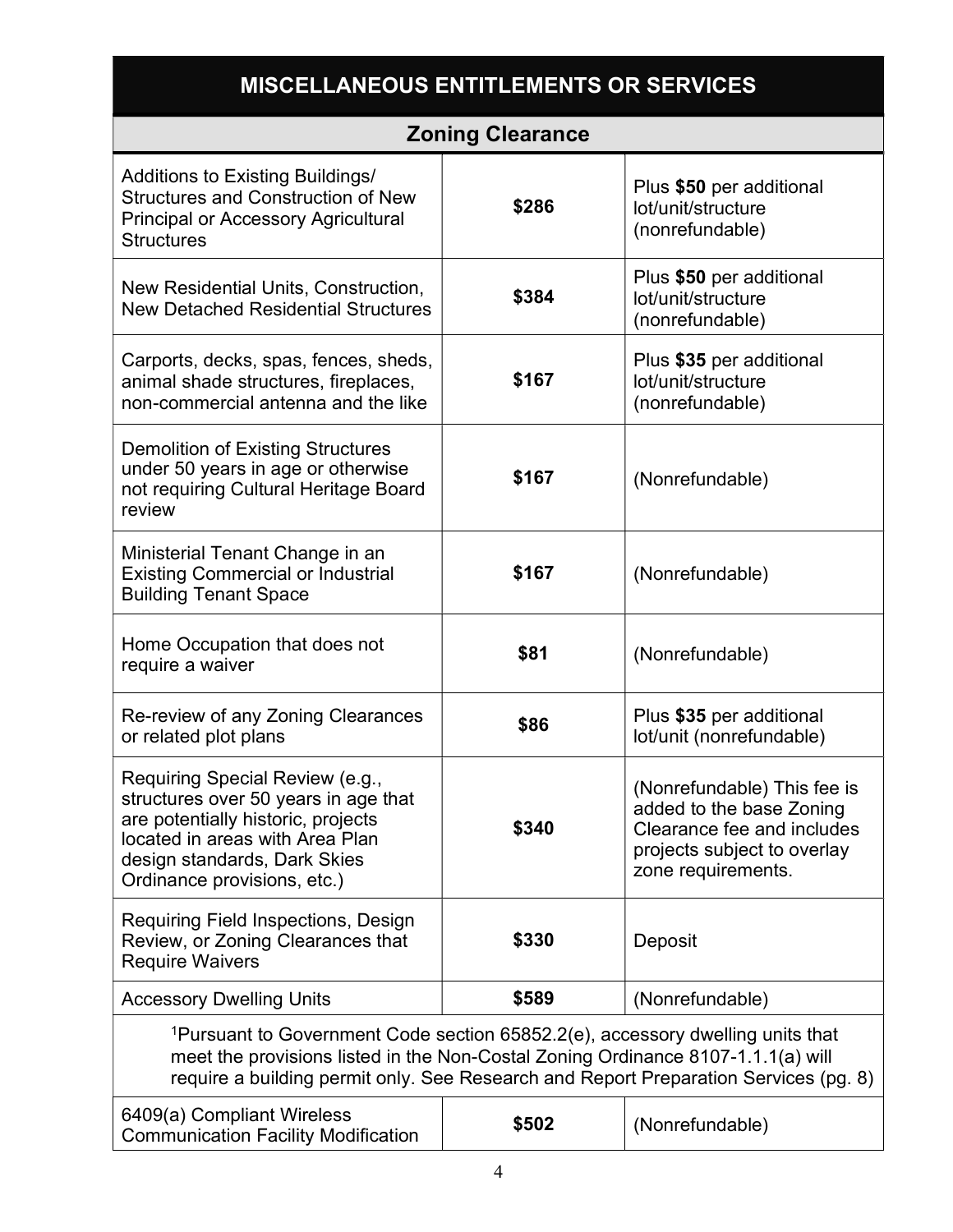# MISCELLANEOUS ENTITLEMENTS OR SERVICES

|                                                                                                                                                                                                                                                                        | <b>Zoning Clearance</b> |                                                                                                                                            |
|------------------------------------------------------------------------------------------------------------------------------------------------------------------------------------------------------------------------------------------------------------------------|-------------------------|--------------------------------------------------------------------------------------------------------------------------------------------|
| <b>Additions to Existing Buildings/</b><br><b>Structures and Construction of New</b><br><b>Principal or Accessory Agricultural</b><br><b>Structures</b>                                                                                                                | \$286                   | Plus \$50 per additional<br>lot/unit/structure<br>(nonrefundable)                                                                          |
| New Residential Units, Construction,<br><b>New Detached Residential Structures</b>                                                                                                                                                                                     | \$384                   | Plus \$50 per additional<br>lot/unit/structure<br>(nonrefundable)                                                                          |
| Carports, decks, spas, fences, sheds,<br>animal shade structures, fireplaces,<br>non-commercial antenna and the like                                                                                                                                                   | \$167                   | Plus \$35 per additional<br>lot/unit/structure<br>(nonrefundable)                                                                          |
| <b>Demolition of Existing Structures</b><br>under 50 years in age or otherwise<br>not requiring Cultural Heritage Board<br>review                                                                                                                                      | \$167                   | (Nonrefundable)                                                                                                                            |
| Ministerial Tenant Change in an<br><b>Existing Commercial or Industrial</b><br><b>Building Tenant Space</b>                                                                                                                                                            | \$167                   | (Nonrefundable)                                                                                                                            |
| Home Occupation that does not<br>require a waiver                                                                                                                                                                                                                      | \$81                    | (Nonrefundable)                                                                                                                            |
| Re-review of any Zoning Clearances<br>or related plot plans                                                                                                                                                                                                            | \$86                    | Plus \$35 per additional<br>lot/unit (nonrefundable)                                                                                       |
| Requiring Special Review (e.g.,<br>structures over 50 years in age that<br>are potentially historic, projects<br>located in areas with Area Plan<br>design standards, Dark Skies<br>Ordinance provisions, etc.)                                                        | \$340                   | (Nonrefundable) This fee is<br>added to the base Zoning<br>Clearance fee and includes<br>projects subject to overlay<br>zone requirements. |
| Requiring Field Inspections, Design<br>Review, or Zoning Clearances that<br><b>Require Waivers</b>                                                                                                                                                                     | \$330                   | Deposit                                                                                                                                    |
| <b>Accessory Dwelling Units</b>                                                                                                                                                                                                                                        | \$589                   | (Nonrefundable)                                                                                                                            |
| <sup>1</sup> Pursuant to Government Code section 65852.2(e), accessory dwelling units that<br>meet the provisions listed in the Non-Costal Zoning Ordinance 8107-1.1.1(a) will<br>require a building permit only. See Research and Report Preparation Services (pg. 8) |                         |                                                                                                                                            |
| 6409(a) Compliant Wireless<br><b>Communication Facility Modification</b>                                                                                                                                                                                               | \$502                   | (Nonrefundable)                                                                                                                            |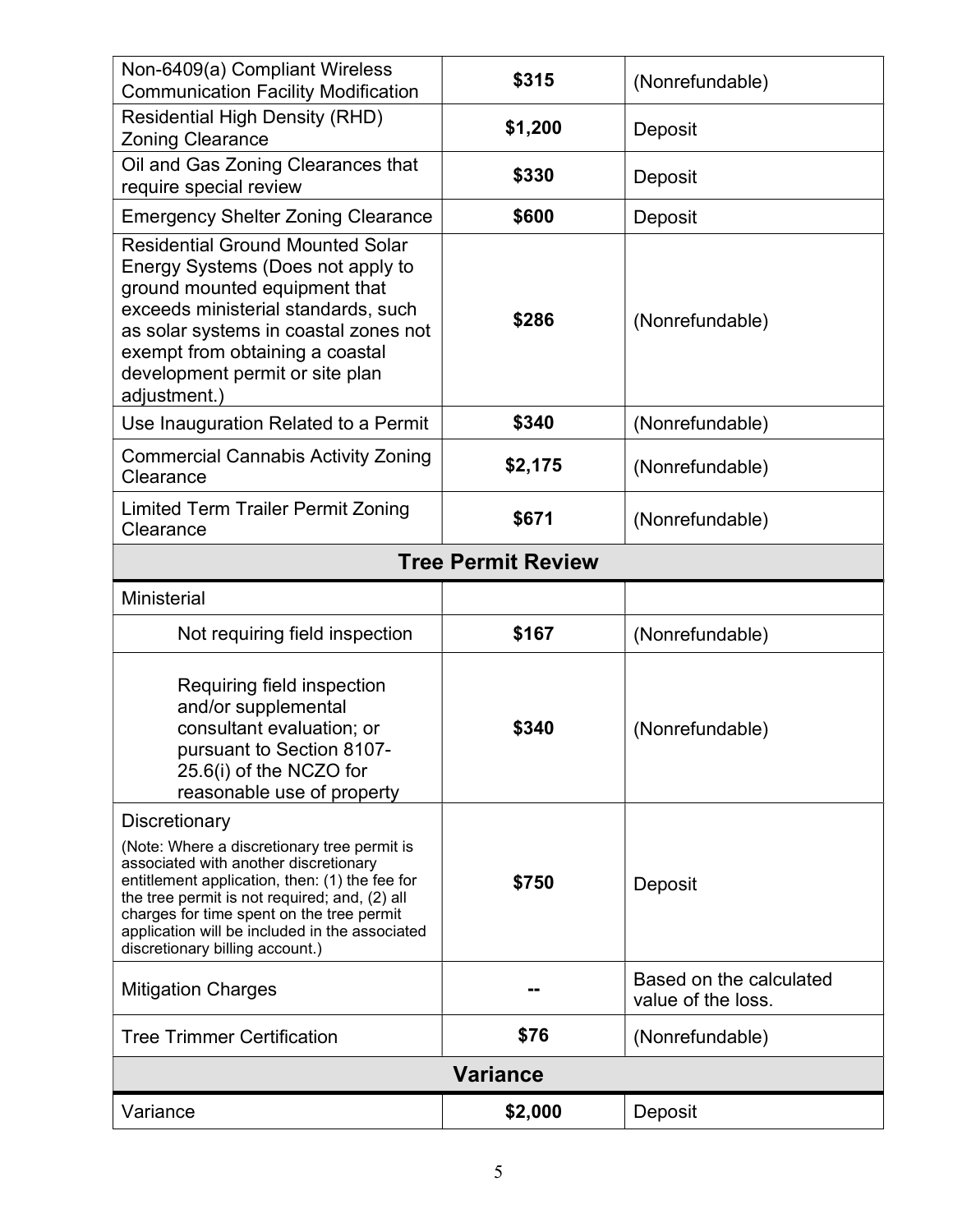| Non-6409(a) Compliant Wireless<br><b>Communication Facility Modification</b>                                                                                                                                                                                                                                                               | \$315                     | (Nonrefundable)                               |
|--------------------------------------------------------------------------------------------------------------------------------------------------------------------------------------------------------------------------------------------------------------------------------------------------------------------------------------------|---------------------------|-----------------------------------------------|
| <b>Residential High Density (RHD)</b><br><b>Zoning Clearance</b>                                                                                                                                                                                                                                                                           | \$1,200                   | Deposit                                       |
| Oil and Gas Zoning Clearances that<br>require special review                                                                                                                                                                                                                                                                               | \$330                     | Deposit                                       |
| <b>Emergency Shelter Zoning Clearance</b>                                                                                                                                                                                                                                                                                                  | \$600                     | Deposit                                       |
| <b>Residential Ground Mounted Solar</b><br>Energy Systems (Does not apply to<br>ground mounted equipment that<br>exceeds ministerial standards, such<br>as solar systems in coastal zones not<br>exempt from obtaining a coastal<br>development permit or site plan<br>adjustment.)                                                        | \$286                     | (Nonrefundable)                               |
| Use Inauguration Related to a Permit                                                                                                                                                                                                                                                                                                       | \$340                     | (Nonrefundable)                               |
| <b>Commercial Cannabis Activity Zoning</b><br>Clearance                                                                                                                                                                                                                                                                                    | \$2,175                   | (Nonrefundable)                               |
| <b>Limited Term Trailer Permit Zoning</b><br>Clearance                                                                                                                                                                                                                                                                                     | \$671                     | (Nonrefundable)                               |
|                                                                                                                                                                                                                                                                                                                                            | <b>Tree Permit Review</b> |                                               |
| <b>Ministerial</b>                                                                                                                                                                                                                                                                                                                         |                           |                                               |
| Not requiring field inspection                                                                                                                                                                                                                                                                                                             | \$167                     | (Nonrefundable)                               |
| Requiring field inspection<br>and/or supplemental<br>consultant evaluation; or<br>pursuant to Section 8107-<br>25.6(i) of the NCZO for<br>reasonable use of property                                                                                                                                                                       | \$340                     | (Nonrefundable)                               |
| Discretionary<br>(Note: Where a discretionary tree permit is<br>associated with another discretionary<br>entitlement application, then: (1) the fee for<br>the tree permit is not required; and, (2) all<br>charges for time spent on the tree permit<br>application will be included in the associated<br>discretionary billing account.) | \$750                     | Deposit                                       |
| <b>Mitigation Charges</b>                                                                                                                                                                                                                                                                                                                  |                           | Based on the calculated<br>value of the loss. |
| <b>Tree Trimmer Certification</b>                                                                                                                                                                                                                                                                                                          | \$76                      | (Nonrefundable)                               |
|                                                                                                                                                                                                                                                                                                                                            | <b>Variance</b>           |                                               |
| Variance                                                                                                                                                                                                                                                                                                                                   | \$2,000                   | Deposit                                       |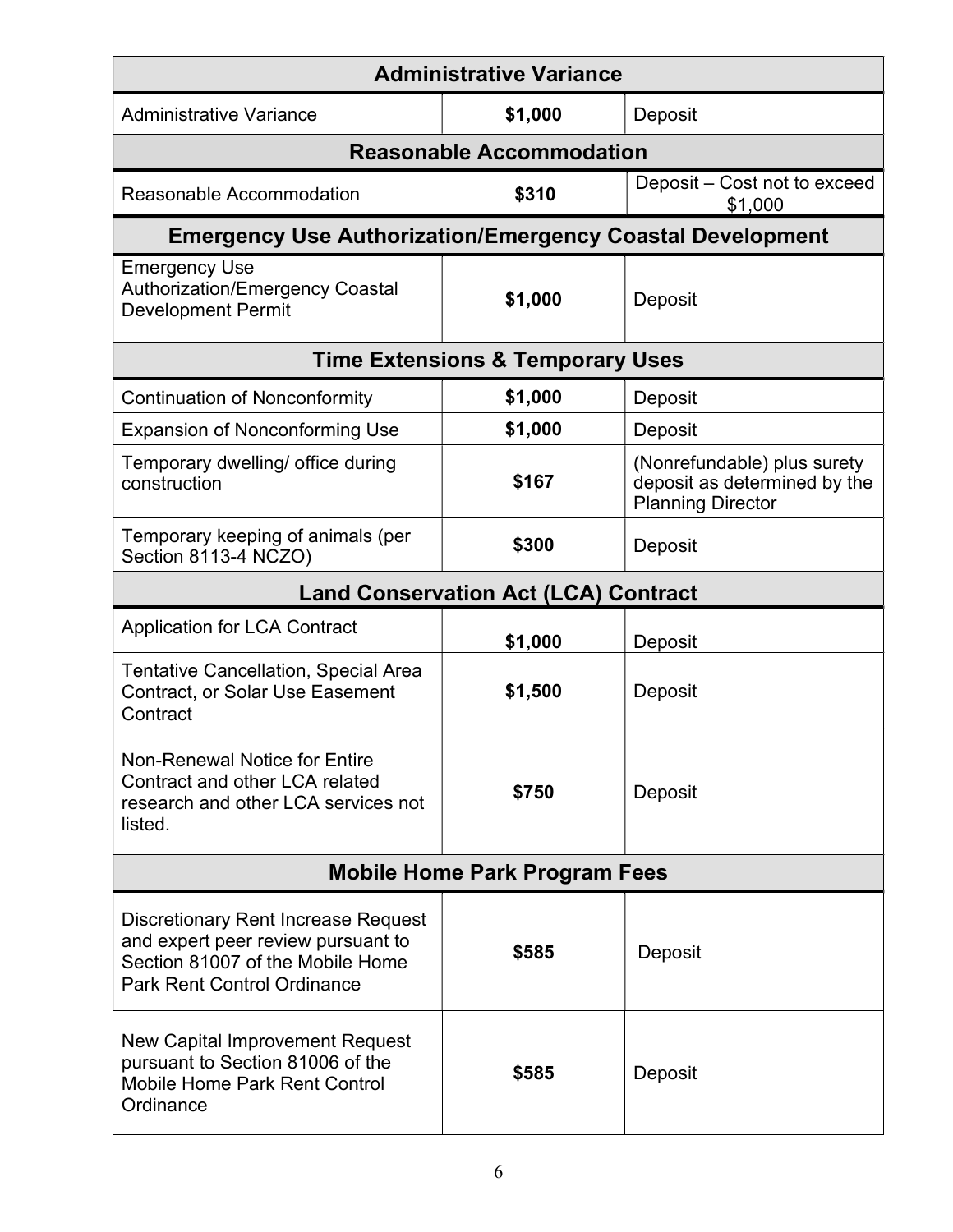| <b>Administrative Variance</b>                                                                                                                             |                                             |                                                                                         |
|------------------------------------------------------------------------------------------------------------------------------------------------------------|---------------------------------------------|-----------------------------------------------------------------------------------------|
| <b>Administrative Variance</b>                                                                                                                             | \$1,000                                     | Deposit                                                                                 |
|                                                                                                                                                            | <b>Reasonable Accommodation</b>             |                                                                                         |
| Reasonable Accommodation                                                                                                                                   | \$310                                       | Deposit - Cost not to exceed<br>\$1,000                                                 |
| <b>Emergency Use Authorization/Emergency Coastal Development</b>                                                                                           |                                             |                                                                                         |
| <b>Emergency Use</b><br><b>Authorization/Emergency Coastal</b><br><b>Development Permit</b>                                                                | \$1,000                                     | Deposit                                                                                 |
|                                                                                                                                                            | <b>Time Extensions &amp; Temporary Uses</b> |                                                                                         |
| <b>Continuation of Nonconformity</b>                                                                                                                       | \$1,000                                     | Deposit                                                                                 |
| <b>Expansion of Nonconforming Use</b>                                                                                                                      | \$1,000                                     | Deposit                                                                                 |
| Temporary dwelling/ office during<br>construction                                                                                                          | \$167                                       | (Nonrefundable) plus surety<br>deposit as determined by the<br><b>Planning Director</b> |
| Temporary keeping of animals (per<br>Section 8113-4 NCZO)                                                                                                  | \$300                                       | Deposit                                                                                 |
|                                                                                                                                                            | <b>Land Conservation Act (LCA) Contract</b> |                                                                                         |
| <b>Application for LCA Contract</b>                                                                                                                        | \$1,000                                     | Deposit                                                                                 |
| <b>Tentative Cancellation, Special Area</b><br><b>Contract, or Solar Use Easement</b><br>Contract                                                          | \$1,500                                     | Deposit                                                                                 |
| <b>Non-Renewal Notice for Entire</b><br>Contract and other LCA related<br>research and other LCA services not<br>listed.                                   | \$750                                       | Deposit                                                                                 |
|                                                                                                                                                            | <b>Mobile Home Park Program Fees</b>        |                                                                                         |
| <b>Discretionary Rent Increase Request</b><br>and expert peer review pursuant to<br>Section 81007 of the Mobile Home<br><b>Park Rent Control Ordinance</b> | \$585                                       | Deposit                                                                                 |
| New Capital Improvement Request<br>pursuant to Section 81006 of the<br><b>Mobile Home Park Rent Control</b><br>Ordinance                                   | \$585                                       | Deposit                                                                                 |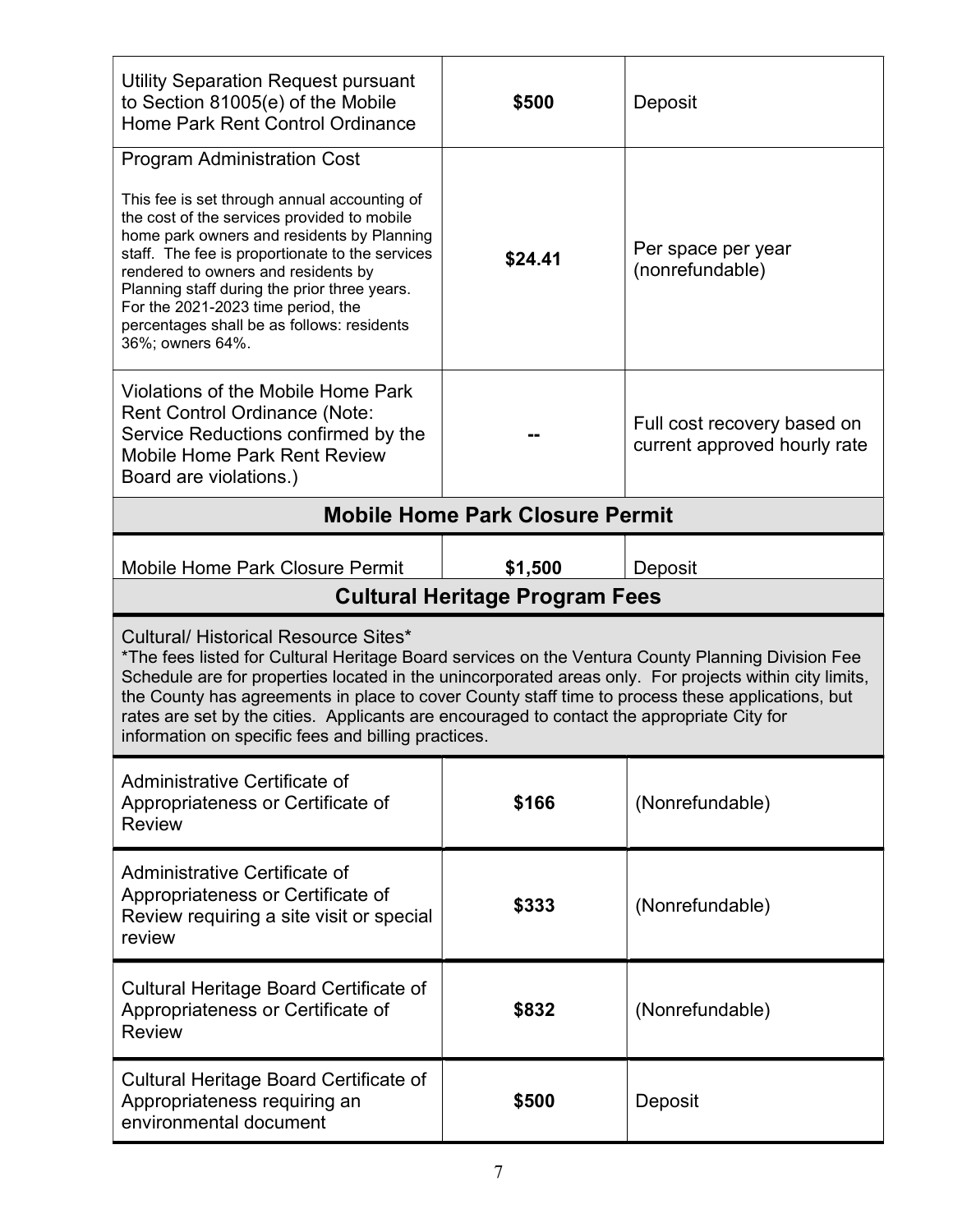| <b>Utility Separation Request pursuant</b><br>to Section 81005(e) of the Mobile<br>Home Park Rent Control Ordinance                                                                                                                                                                                                                                                                                                               | \$500                                  | Deposit                                                     |
|-----------------------------------------------------------------------------------------------------------------------------------------------------------------------------------------------------------------------------------------------------------------------------------------------------------------------------------------------------------------------------------------------------------------------------------|----------------------------------------|-------------------------------------------------------------|
| <b>Program Administration Cost</b><br>This fee is set through annual accounting of<br>the cost of the services provided to mobile<br>home park owners and residents by Planning<br>staff. The fee is proportionate to the services<br>rendered to owners and residents by<br>Planning staff during the prior three years.<br>For the 2021-2023 time period, the<br>percentages shall be as follows: residents<br>36%; owners 64%. | \$24.41                                | Per space per year<br>(nonrefundable)                       |
| Violations of the Mobile Home Park<br><b>Rent Control Ordinance (Note:</b><br>Service Reductions confirmed by the<br><b>Mobile Home Park Rent Review</b><br>Board are violations.)                                                                                                                                                                                                                                                |                                        | Full cost recovery based on<br>current approved hourly rate |
|                                                                                                                                                                                                                                                                                                                                                                                                                                   | <b>Mobile Home Park Closure Permit</b> |                                                             |
| <b>Mobile Home Park Closure Permit</b>                                                                                                                                                                                                                                                                                                                                                                                            | \$1,500                                | Deposit                                                     |
|                                                                                                                                                                                                                                                                                                                                                                                                                                   | <b>Cultural Heritage Program Fees</b>  |                                                             |
| <b>Cultural/ Historical Resource Sites*</b><br>*The fees listed for Cultural Heritage Board services on the Ventura County Planning Division Fee<br>Schedule are for properties located in the unincorporated areas only. For projects within city limits,                                                                                                                                                                        |                                        |                                                             |
| the County has agreements in place to cover County staff time to process these applications, but<br>rates are set by the cities. Applicants are encouraged to contact the appropriate City for<br>information on specific fees and billing practices.                                                                                                                                                                             |                                        |                                                             |
| Administrative Certificate of<br>Appropriateness or Certificate of<br><b>Review</b>                                                                                                                                                                                                                                                                                                                                               | \$166                                  | (Nonrefundable)                                             |
| Administrative Certificate of<br>Appropriateness or Certificate of<br>Review requiring a site visit or special<br>review                                                                                                                                                                                                                                                                                                          | \$333                                  | (Nonrefundable)                                             |
| Cultural Heritage Board Certificate of<br>Appropriateness or Certificate of<br><b>Review</b>                                                                                                                                                                                                                                                                                                                                      | \$832                                  | (Nonrefundable)                                             |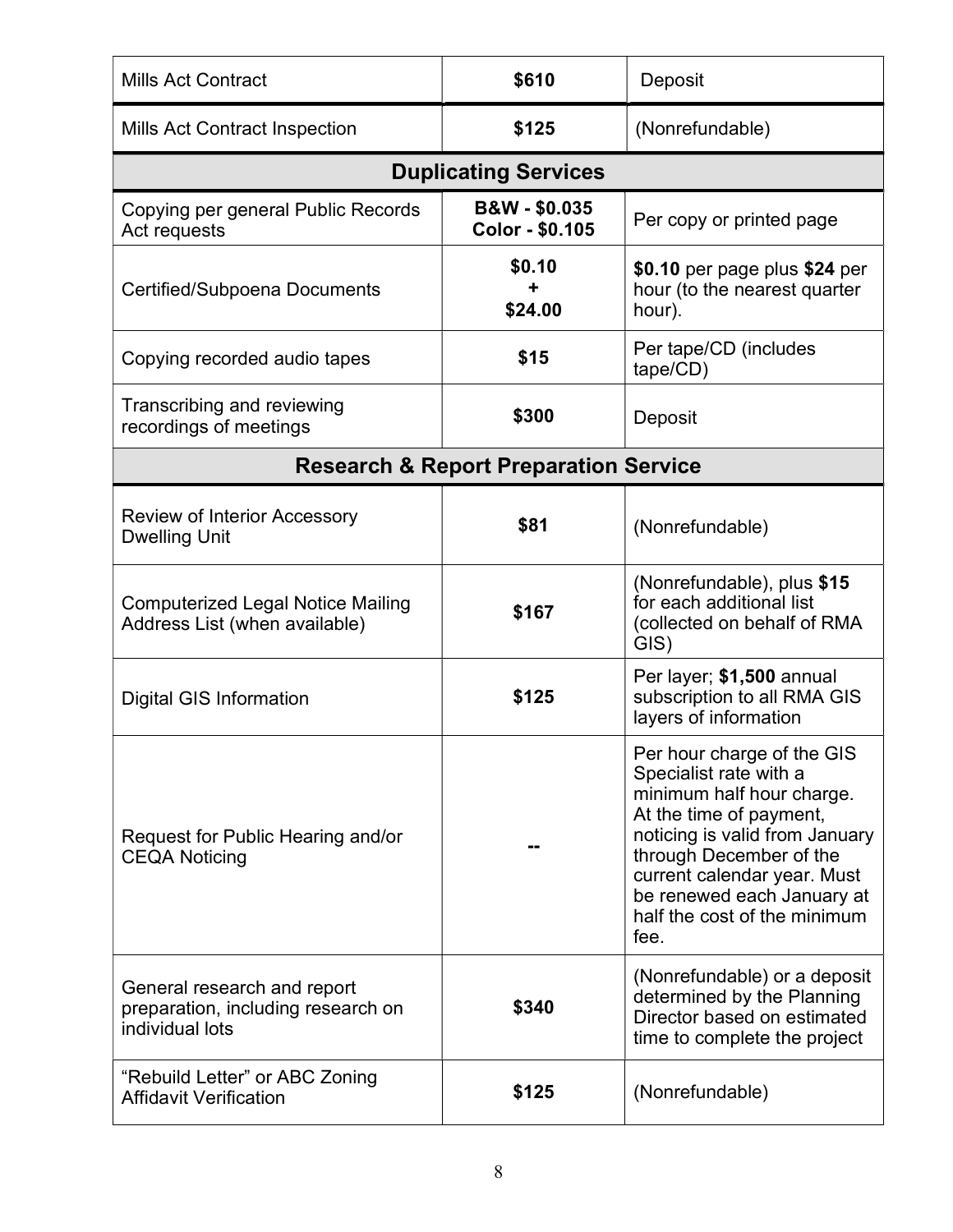| <b>Mills Act Contract</b>                                                            | \$610                                            | Deposit                                                                                                                                                                                                                                                                        |
|--------------------------------------------------------------------------------------|--------------------------------------------------|--------------------------------------------------------------------------------------------------------------------------------------------------------------------------------------------------------------------------------------------------------------------------------|
| <b>Mills Act Contract Inspection</b>                                                 | \$125                                            | (Nonrefundable)                                                                                                                                                                                                                                                                |
|                                                                                      | <b>Duplicating Services</b>                      |                                                                                                                                                                                                                                                                                |
| Copying per general Public Records<br>Act requests                                   | <b>B&amp;W-\$0.035</b><br>Color - \$0.105        | Per copy or printed page                                                                                                                                                                                                                                                       |
| Certified/Subpoena Documents                                                         | \$0.10<br>\$24.00                                | \$0.10 per page plus \$24 per<br>hour (to the nearest quarter<br>hour).                                                                                                                                                                                                        |
| Copying recorded audio tapes                                                         | \$15                                             | Per tape/CD (includes<br>tape/CD)                                                                                                                                                                                                                                              |
| Transcribing and reviewing<br>recordings of meetings                                 | \$300                                            | Deposit                                                                                                                                                                                                                                                                        |
|                                                                                      | <b>Research &amp; Report Preparation Service</b> |                                                                                                                                                                                                                                                                                |
| <b>Review of Interior Accessory</b><br><b>Dwelling Unit</b>                          | \$81                                             | (Nonrefundable)                                                                                                                                                                                                                                                                |
| <b>Computerized Legal Notice Mailing</b><br>Address List (when available)            | \$167                                            | (Nonrefundable), plus \$15<br>for each additional list<br>(collected on behalf of RMA<br>GIS)                                                                                                                                                                                  |
| <b>Digital GIS Information</b>                                                       | \$125                                            | Per layer; \$1,500 annual<br>subscription to all RMA GIS<br>layers of information                                                                                                                                                                                              |
| Request for Public Hearing and/or<br><b>CEQA Noticing</b>                            |                                                  | Per hour charge of the GIS<br>Specialist rate with a<br>minimum half hour charge.<br>At the time of payment,<br>noticing is valid from January<br>through December of the<br>current calendar year. Must<br>be renewed each January at<br>half the cost of the minimum<br>fee. |
| General research and report<br>preparation, including research on<br>individual lots | \$340                                            | (Nonrefundable) or a deposit<br>determined by the Planning<br>Director based on estimated<br>time to complete the project                                                                                                                                                      |
| "Rebuild Letter" or ABC Zoning<br><b>Affidavit Verification</b>                      | \$125                                            | (Nonrefundable)                                                                                                                                                                                                                                                                |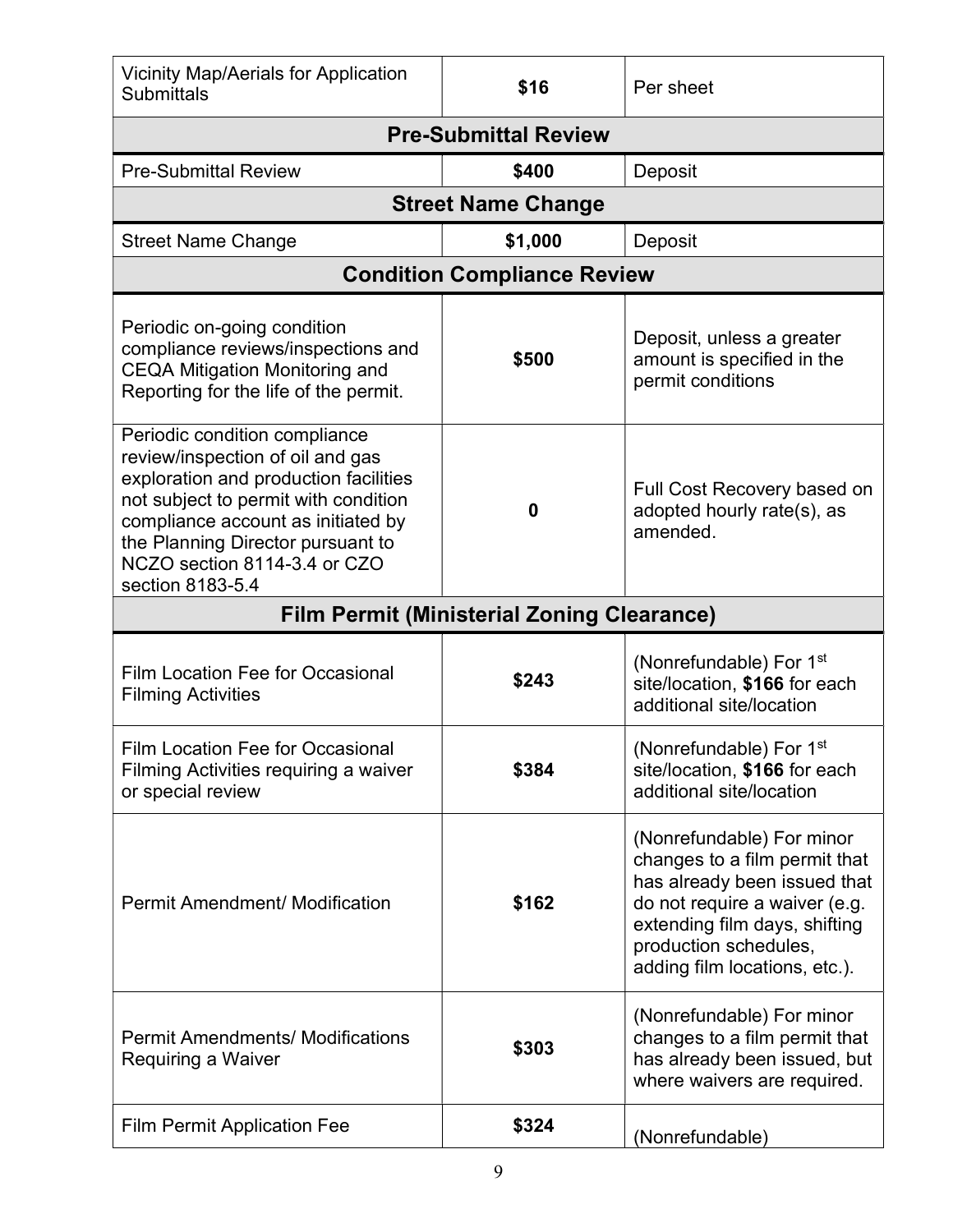| <b>Vicinity Map/Aerials for Application</b><br><b>Submittals</b>                                                                                                                                                                                                                  | \$16                                              | Per sheet                                                                                                                                                                                                              |
|-----------------------------------------------------------------------------------------------------------------------------------------------------------------------------------------------------------------------------------------------------------------------------------|---------------------------------------------------|------------------------------------------------------------------------------------------------------------------------------------------------------------------------------------------------------------------------|
|                                                                                                                                                                                                                                                                                   | <b>Pre-Submittal Review</b>                       |                                                                                                                                                                                                                        |
| <b>Pre-Submittal Review</b>                                                                                                                                                                                                                                                       | \$400                                             | Deposit                                                                                                                                                                                                                |
|                                                                                                                                                                                                                                                                                   | <b>Street Name Change</b>                         |                                                                                                                                                                                                                        |
| <b>Street Name Change</b>                                                                                                                                                                                                                                                         | \$1,000                                           | Deposit                                                                                                                                                                                                                |
|                                                                                                                                                                                                                                                                                   | <b>Condition Compliance Review</b>                |                                                                                                                                                                                                                        |
| Periodic on-going condition<br>compliance reviews/inspections and<br><b>CEQA Mitigation Monitoring and</b><br>Reporting for the life of the permit.                                                                                                                               | \$500                                             | Deposit, unless a greater<br>amount is specified in the<br>permit conditions                                                                                                                                           |
| Periodic condition compliance<br>review/inspection of oil and gas<br>exploration and production facilities<br>not subject to permit with condition<br>compliance account as initiated by<br>the Planning Director pursuant to<br>NCZO section 8114-3.4 or CZO<br>section 8183-5.4 | 0                                                 | Full Cost Recovery based on<br>adopted hourly rate(s), as<br>amended.                                                                                                                                                  |
|                                                                                                                                                                                                                                                                                   | <b>Film Permit (Ministerial Zoning Clearance)</b> |                                                                                                                                                                                                                        |
| <b>Film Location Fee for Occasional</b><br><b>Filming Activities</b>                                                                                                                                                                                                              | \$243                                             | (Nonrefundable) For 1 <sup>st</sup><br>site/location, \$166 for each<br>additional site/location                                                                                                                       |
| Film Location Fee for Occasional<br>Filming Activities requiring a waiver<br>or special review                                                                                                                                                                                    | \$384                                             | (Nonrefundable) For 1 <sup>st</sup><br>site/location, \$166 for each<br>additional site/location                                                                                                                       |
| <b>Permit Amendment/ Modification</b>                                                                                                                                                                                                                                             | \$162                                             | (Nonrefundable) For minor<br>changes to a film permit that<br>has already been issued that<br>do not require a waiver (e.g.<br>extending film days, shifting<br>production schedules,<br>adding film locations, etc.). |
| <b>Permit Amendments/ Modifications</b><br>Requiring a Waiver                                                                                                                                                                                                                     | \$303                                             | (Nonrefundable) For minor<br>changes to a film permit that<br>has already been issued, but<br>where waivers are required.                                                                                              |
| <b>Film Permit Application Fee</b>                                                                                                                                                                                                                                                | \$324                                             | (Nonrefundable)                                                                                                                                                                                                        |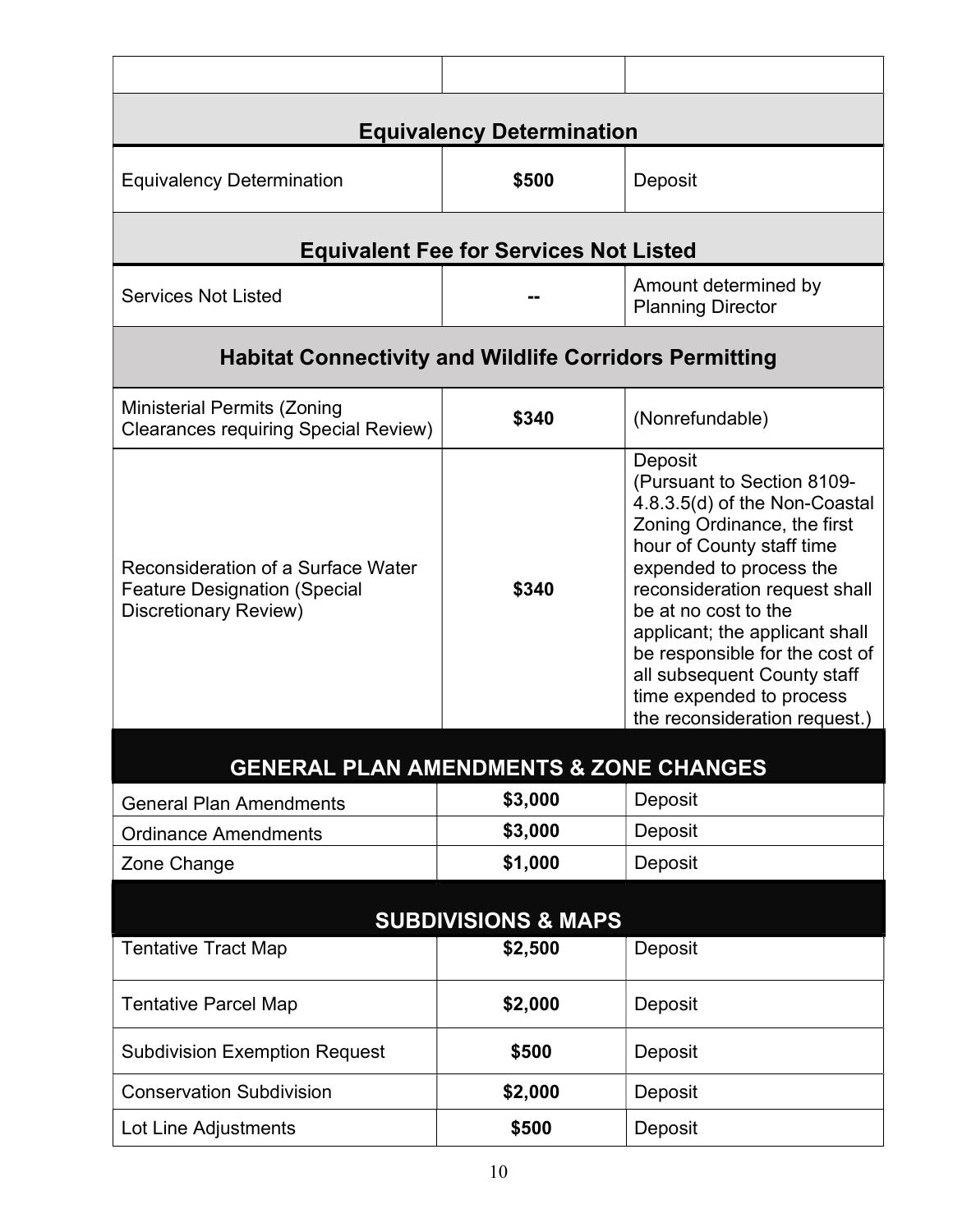|                                                                                                    | <b>Equivalency Determination</b>              |                                                                                                                                                                                                                                                                                                                                                                                        |
|----------------------------------------------------------------------------------------------------|-----------------------------------------------|----------------------------------------------------------------------------------------------------------------------------------------------------------------------------------------------------------------------------------------------------------------------------------------------------------------------------------------------------------------------------------------|
| <b>Equivalency Determination</b>                                                                   | \$500                                         | Deposit                                                                                                                                                                                                                                                                                                                                                                                |
|                                                                                                    | <b>Equivalent Fee for Services Not Listed</b> |                                                                                                                                                                                                                                                                                                                                                                                        |
| <b>Services Not Listed</b>                                                                         |                                               | Amount determined by<br><b>Planning Director</b>                                                                                                                                                                                                                                                                                                                                       |
| <b>Habitat Connectivity and Wildlife Corridors Permitting</b>                                      |                                               |                                                                                                                                                                                                                                                                                                                                                                                        |
| <b>Ministerial Permits (Zoning</b><br><b>Clearances requiring Special Review)</b>                  | \$340                                         | (Nonrefundable)                                                                                                                                                                                                                                                                                                                                                                        |
| Reconsideration of a Surface Water<br><b>Feature Designation (Special</b><br>Discretionary Review) | \$340                                         | Deposit<br>(Pursuant to Section 8109-<br>4.8.3.5(d) of the Non-Coastal<br>Zoning Ordinance, the first<br>hour of County staff time<br>expended to process the<br>reconsideration request shall<br>be at no cost to the<br>applicant; the applicant shall<br>be responsible for the cost of<br>all subsequent County staff<br>time expended to process<br>the reconsideration request.) |
| <b>GENERAL PLAN AMENDMENTS &amp; ZONE CHANGES</b>                                                  |                                               |                                                                                                                                                                                                                                                                                                                                                                                        |
| <b>General Plan Amendments</b>                                                                     | \$3,000                                       | Deposit                                                                                                                                                                                                                                                                                                                                                                                |
| <b>Ordinance Amendments</b>                                                                        | \$3,000                                       | Deposit                                                                                                                                                                                                                                                                                                                                                                                |
| Zone Change                                                                                        | \$1,000                                       | Deposit                                                                                                                                                                                                                                                                                                                                                                                |
|                                                                                                    | <b>SUBDIVISIONS &amp; MAPS</b>                |                                                                                                                                                                                                                                                                                                                                                                                        |
| <b>Tentative Tract Map</b>                                                                         | \$2,500                                       | Deposit                                                                                                                                                                                                                                                                                                                                                                                |
| <b>Tentative Parcel Map</b>                                                                        | \$2,000                                       | Deposit                                                                                                                                                                                                                                                                                                                                                                                |
| <b>Subdivision Exemption Request</b>                                                               | \$500                                         | Deposit                                                                                                                                                                                                                                                                                                                                                                                |
| <b>Conservation Subdivision</b>                                                                    | \$2,000                                       | Deposit                                                                                                                                                                                                                                                                                                                                                                                |
| Lot Line Adjustments                                                                               | \$500                                         | Deposit                                                                                                                                                                                                                                                                                                                                                                                |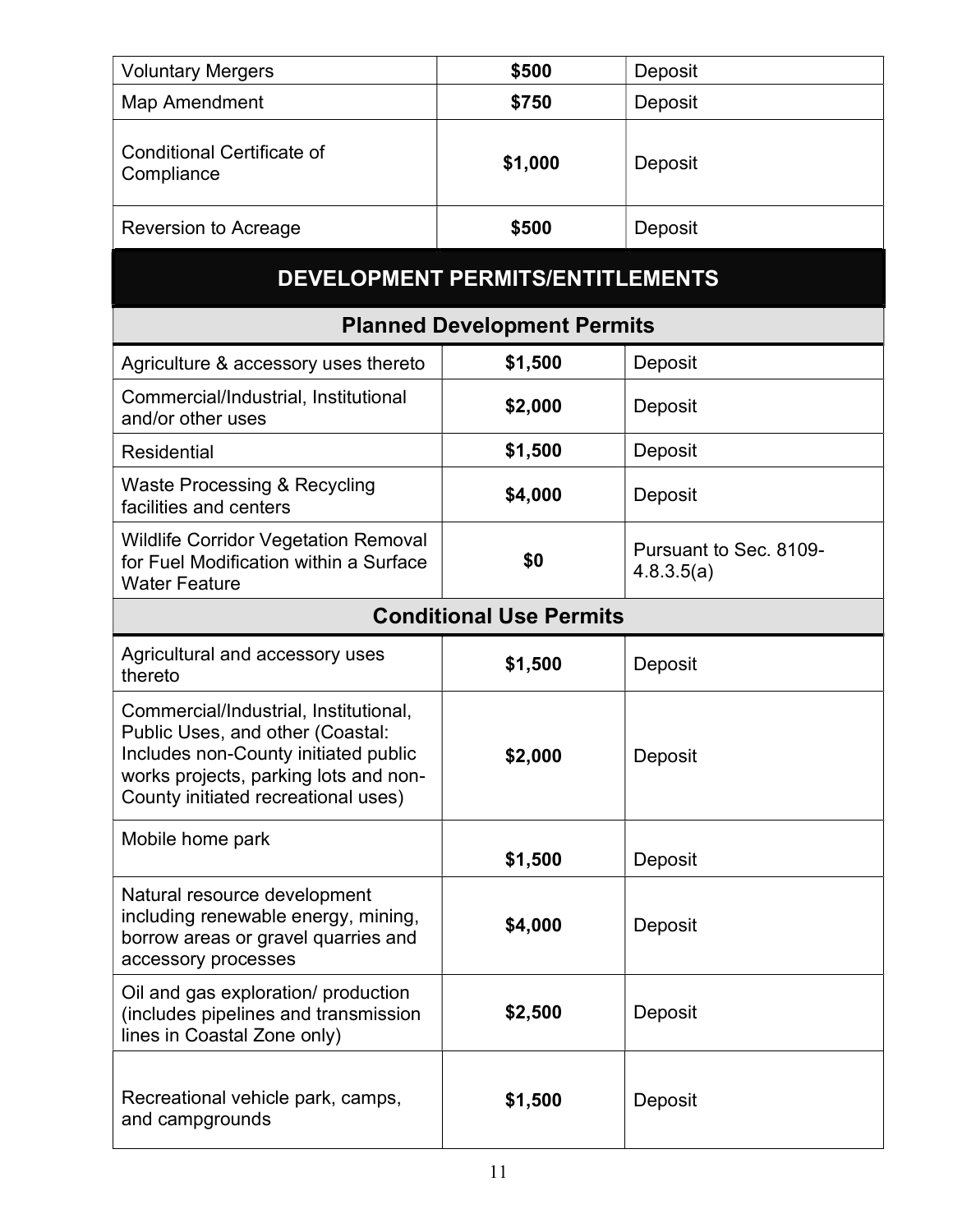| <b>Voluntary Mergers</b>                                                                                                                                                                          | \$500                                   | Deposit                              |
|---------------------------------------------------------------------------------------------------------------------------------------------------------------------------------------------------|-----------------------------------------|--------------------------------------|
| Map Amendment                                                                                                                                                                                     | \$750                                   | Deposit                              |
| <b>Conditional Certificate of</b><br>Compliance                                                                                                                                                   | \$1,000                                 | Deposit                              |
| Reversion to Acreage                                                                                                                                                                              | \$500                                   | Deposit                              |
|                                                                                                                                                                                                   | <b>DEVELOPMENT PERMITS/ENTITLEMENTS</b> |                                      |
|                                                                                                                                                                                                   | <b>Planned Development Permits</b>      |                                      |
| Agriculture & accessory uses thereto                                                                                                                                                              | \$1,500                                 | Deposit                              |
| Commercial/Industrial, Institutional<br>and/or other uses                                                                                                                                         | \$2,000                                 | Deposit                              |
| <b>Residential</b>                                                                                                                                                                                | \$1,500                                 | Deposit                              |
| Waste Processing & Recycling<br>facilities and centers                                                                                                                                            | \$4,000                                 | Deposit                              |
| <b>Wildlife Corridor Vegetation Removal</b><br>for Fuel Modification within a Surface<br><b>Water Feature</b>                                                                                     | \$0                                     | Pursuant to Sec. 8109-<br>4.8.3.5(a) |
|                                                                                                                                                                                                   |                                         |                                      |
|                                                                                                                                                                                                   | <b>Conditional Use Permits</b>          |                                      |
| Agricultural and accessory uses<br>thereto                                                                                                                                                        | \$1,500                                 | Deposit                              |
| Commercial/Industrial, Institutional,<br>Public Uses, and other (Coastal:<br>Includes non-County initiated public<br>works projects, parking lots and non-<br>County initiated recreational uses) | \$2,000                                 | Deposit                              |
| Mobile home park                                                                                                                                                                                  | \$1,500                                 | Deposit                              |
| Natural resource development<br>including renewable energy, mining,<br>borrow areas or gravel quarries and<br>accessory processes                                                                 | \$4,000                                 | Deposit                              |
| Oil and gas exploration/ production<br>(includes pipelines and transmission<br>lines in Coastal Zone only)                                                                                        | \$2,500                                 | Deposit                              |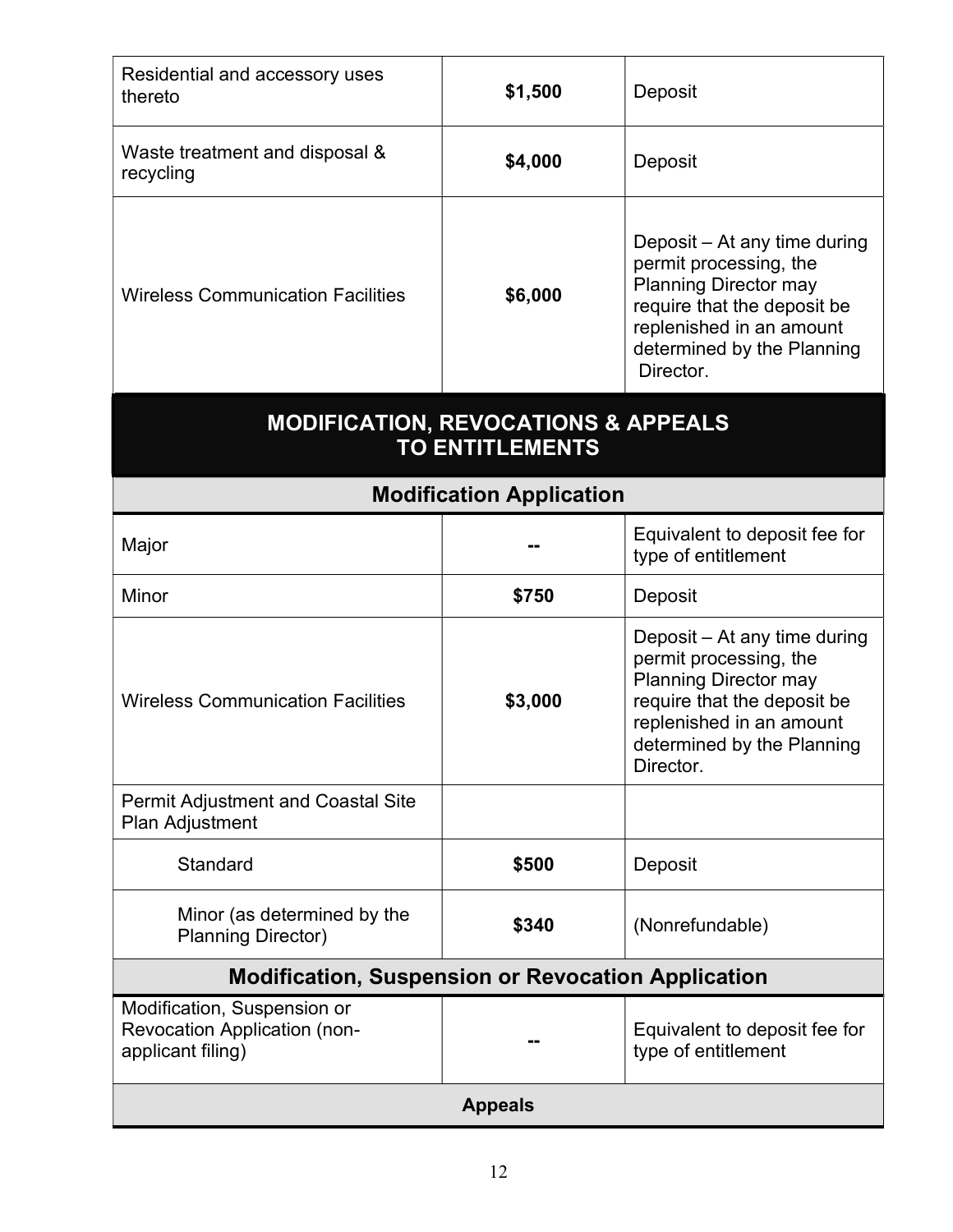| Residential and accessory uses<br>thereto                                        | \$1,500                                                                  | Deposit                                                                                                                                                                                      |
|----------------------------------------------------------------------------------|--------------------------------------------------------------------------|----------------------------------------------------------------------------------------------------------------------------------------------------------------------------------------------|
| Waste treatment and disposal &<br>recycling                                      | \$4,000                                                                  | Deposit                                                                                                                                                                                      |
| <b>Wireless Communication Facilities</b>                                         | \$6,000                                                                  | Deposit – At any time during<br>permit processing, the<br><b>Planning Director may</b><br>require that the deposit be<br>replenished in an amount<br>determined by the Planning<br>Director. |
|                                                                                  | <b>MODIFICATION, REVOCATIONS &amp; APPEALS</b><br><b>TO ENTITLEMENTS</b> |                                                                                                                                                                                              |
|                                                                                  | <b>Modification Application</b>                                          |                                                                                                                                                                                              |
| Major                                                                            |                                                                          | Equivalent to deposit fee for<br>type of entitlement                                                                                                                                         |
| Minor                                                                            | \$750                                                                    | Deposit                                                                                                                                                                                      |
| <b>Wireless Communication Facilities</b>                                         | \$3,000                                                                  | Deposit – At any time during<br>permit processing, the<br><b>Planning Director may</b><br>require that the deposit be<br>replenished in an amount<br>determined by the Planning<br>Director. |
| <b>Permit Adjustment and Coastal Site</b><br>Plan Adjustment                     |                                                                          |                                                                                                                                                                                              |
| Standard                                                                         | \$500                                                                    | Deposit                                                                                                                                                                                      |
| Minor (as determined by the<br><b>Planning Director)</b>                         | \$340                                                                    | (Nonrefundable)                                                                                                                                                                              |
| <b>Modification, Suspension or Revocation Application</b>                        |                                                                          |                                                                                                                                                                                              |
| Modification, Suspension or<br>Revocation Application (non-<br>applicant filing) |                                                                          | Equivalent to deposit fee for<br>type of entitlement                                                                                                                                         |
|                                                                                  | <b>Appeals</b>                                                           |                                                                                                                                                                                              |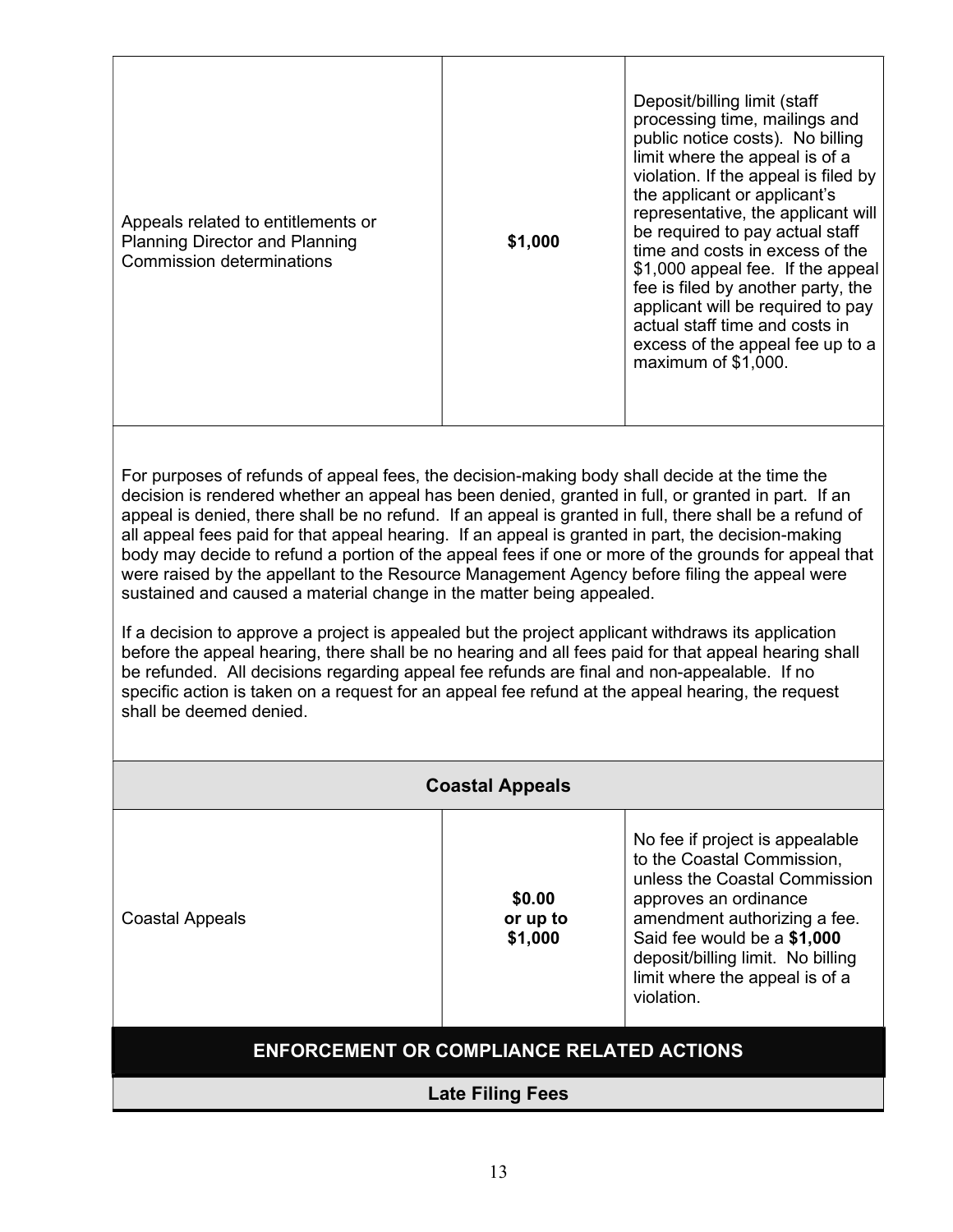For purposes of refunds of appeal fees, the decision-making body shall decide at the time the decision is rendered whether an appeal has been denied, granted in full, or granted in part. If an appeal is denied, there shall be no refund. If an appeal is granted in full, there shall be a refund of all appeal fees paid for that appeal hearing. If an appeal is granted in part, the decision-making body may decide to refund a portion of the appeal fees if one or more of the grounds for appeal that were raised by the appellant to the Resource Management Agency before filing the appeal were sustained and caused a material change in the matter being appealed.

If a decision to approve a project is appealed but the project applicant withdraws its application before the appeal hearing, there shall be no hearing and all fees paid for that appeal hearing shall be refunded. All decisions regarding appeal fee refunds are final and non-appealable. If no specific action is taken on a request for an appeal fee refund at the appeal hearing, the request shall be deemed denied.

|                                                  | <b>Coastal Appeals</b>        |                                                                                                                                                                                                                                                                             |
|--------------------------------------------------|-------------------------------|-----------------------------------------------------------------------------------------------------------------------------------------------------------------------------------------------------------------------------------------------------------------------------|
| <b>Coastal Appeals</b>                           | \$0.00<br>or up to<br>\$1,000 | No fee if project is appealable<br>to the Coastal Commission,<br>unless the Coastal Commission<br>approves an ordinance<br>amendment authorizing a fee.<br>Said fee would be a \$1,000<br>deposit/billing limit. No billing<br>limit where the appeal is of a<br>violation. |
| <b>ENFORCEMENT OR COMPLIANCE RELATED ACTIONS</b> |                               |                                                                                                                                                                                                                                                                             |
|                                                  | <b>Late Filing Fees</b>       |                                                                                                                                                                                                                                                                             |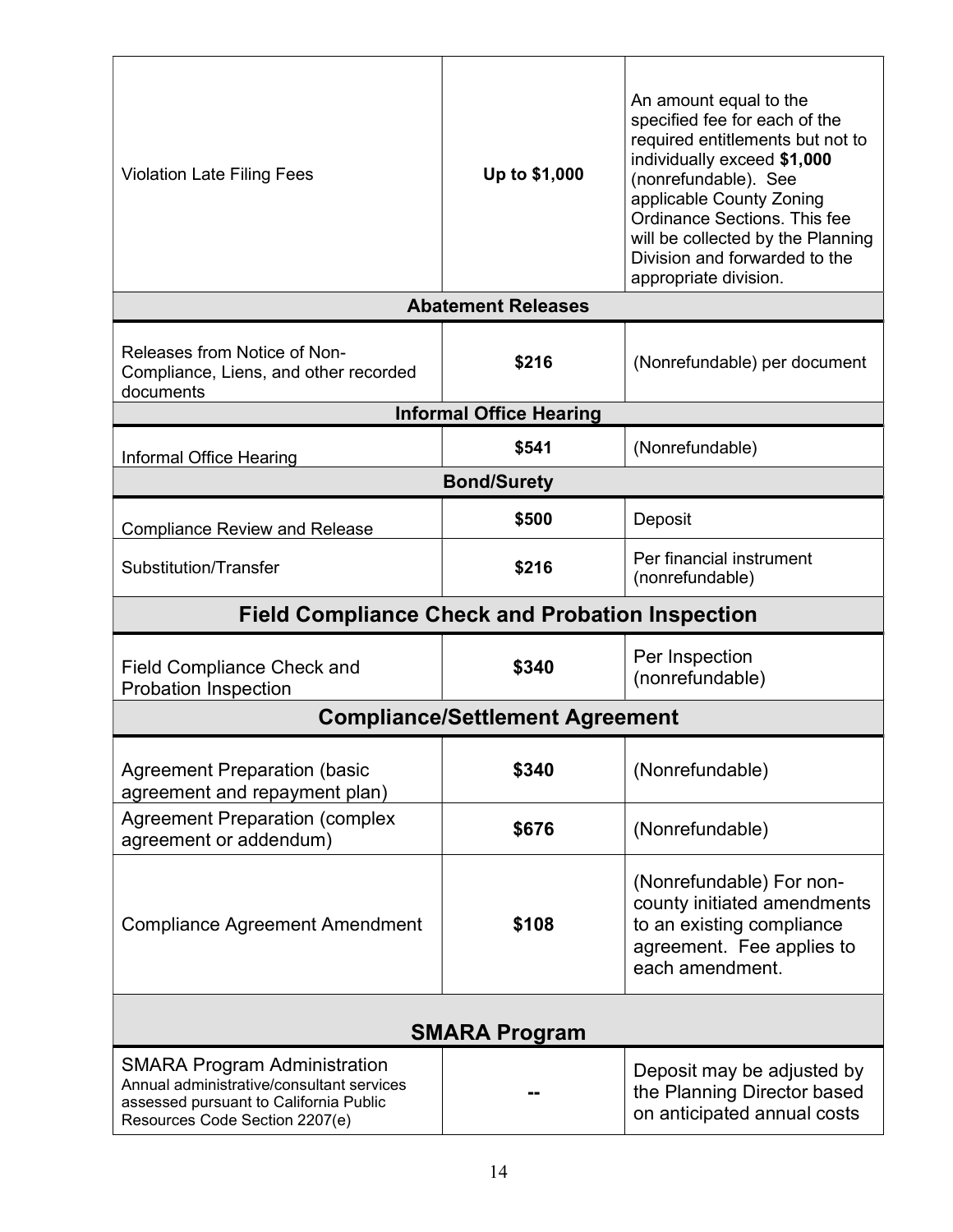| <b>Violation Late Filing Fees</b>                                                  | Up to \$1,000                          | An amount equal to the<br>specified fee for each of the<br>required entitlements but not to<br>individually exceed \$1,000<br>(nonrefundable). See<br>applicable County Zoning<br>Ordinance Sections. This fee<br>will be collected by the Planning<br>Division and forwarded to the<br>appropriate division. |
|------------------------------------------------------------------------------------|----------------------------------------|---------------------------------------------------------------------------------------------------------------------------------------------------------------------------------------------------------------------------------------------------------------------------------------------------------------|
|                                                                                    | <b>Abatement Releases</b>              |                                                                                                                                                                                                                                                                                                               |
| Releases from Notice of Non-<br>Compliance, Liens, and other recorded<br>documents | \$216                                  | (Nonrefundable) per document                                                                                                                                                                                                                                                                                  |
|                                                                                    | <b>Informal Office Hearing</b>         |                                                                                                                                                                                                                                                                                                               |
| <b>Informal Office Hearing</b>                                                     | \$541                                  | (Nonrefundable)                                                                                                                                                                                                                                                                                               |
|                                                                                    | <b>Bond/Surety</b>                     |                                                                                                                                                                                                                                                                                                               |
| <b>Compliance Review and Release</b>                                               | \$500                                  | Deposit                                                                                                                                                                                                                                                                                                       |
| Substitution/Transfer                                                              | \$216                                  | Per financial instrument<br>(nonrefundable)                                                                                                                                                                                                                                                                   |
| <b>Field Compliance Check and Probation Inspection</b>                             |                                        |                                                                                                                                                                                                                                                                                                               |
|                                                                                    | \$340                                  | Per Inspection                                                                                                                                                                                                                                                                                                |
| <b>Field Compliance Check and</b><br><b>Probation Inspection</b>                   |                                        | (nonrefundable)                                                                                                                                                                                                                                                                                               |
|                                                                                    | <b>Compliance/Settlement Agreement</b> |                                                                                                                                                                                                                                                                                                               |
| <b>Agreement Preparation (basic</b><br>agreement and repayment plan)               | \$340                                  | (Nonrefundable)                                                                                                                                                                                                                                                                                               |
| <b>Agreement Preparation (complex</b><br>agreement or addendum)                    | \$676                                  | (Nonrefundable)                                                                                                                                                                                                                                                                                               |
| <b>Compliance Agreement Amendment</b>                                              | \$108                                  | (Nonrefundable) For non-<br>county initiated amendments<br>to an existing compliance<br>agreement. Fee applies to<br>each amendment.                                                                                                                                                                          |
|                                                                                    | <b>SMARA Program</b>                   |                                                                                                                                                                                                                                                                                                               |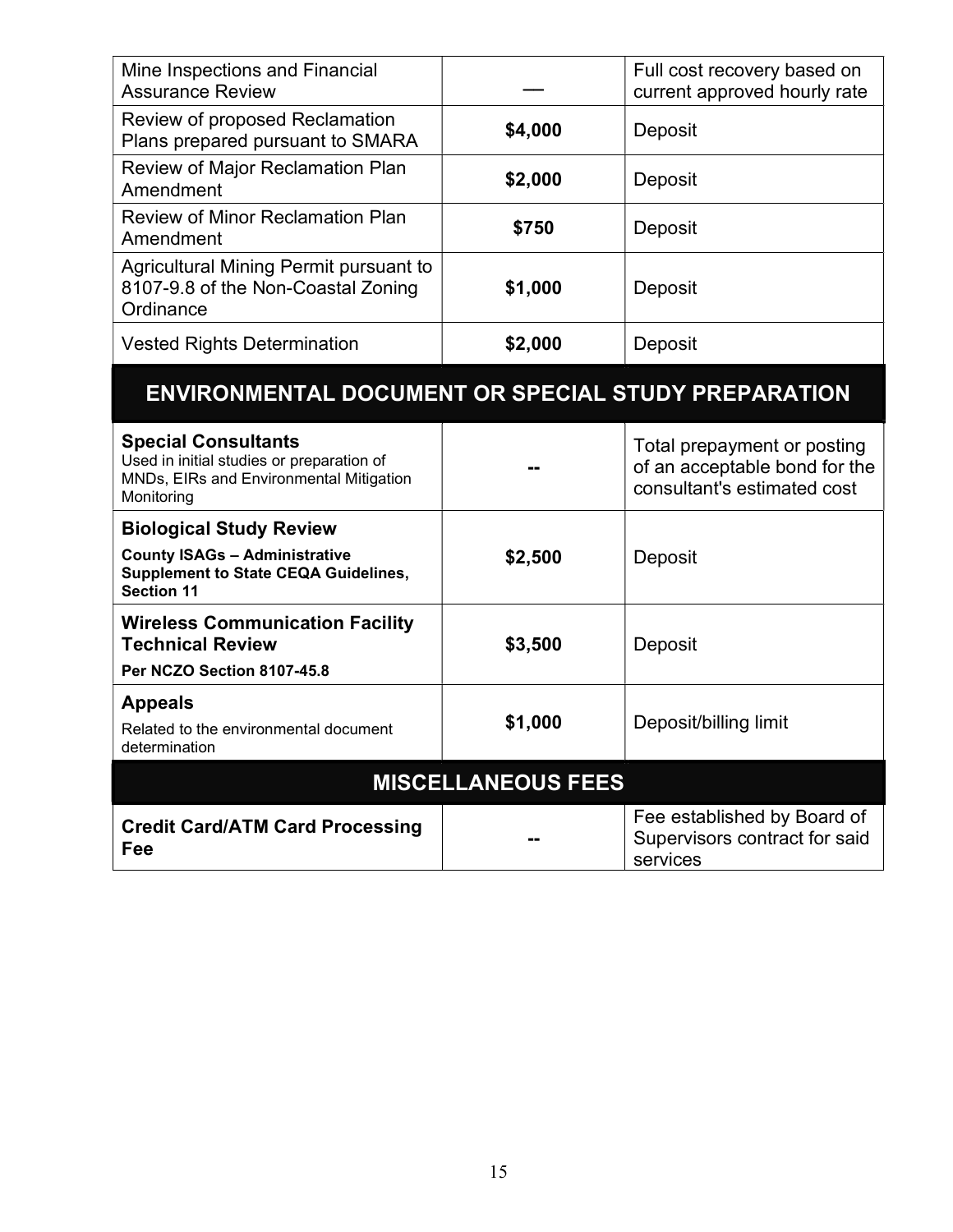| Mine Inspections and Financial<br><b>Assurance Review</b>                                 |         | Full cost recovery based on<br>current approved hourly rate |
|-------------------------------------------------------------------------------------------|---------|-------------------------------------------------------------|
| Review of proposed Reclamation<br>Plans prepared pursuant to SMARA                        | \$4,000 | Deposit                                                     |
| <b>Review of Major Reclamation Plan</b><br>Amendment                                      | \$2,000 | Deposit                                                     |
| <b>Review of Minor Reclamation Plan</b><br>Amendment                                      | \$750   | Deposit                                                     |
| Agricultural Mining Permit pursuant to<br>8107-9.8 of the Non-Coastal Zoning<br>Ordinance | \$1,000 | Deposit                                                     |
| <b>Vested Rights Determination</b>                                                        | \$2,000 | Deposit                                                     |

# ENVIRONMENTAL DOCUMENT OR SPECIAL STUDY PREPARATION

| <b>Special Consultants</b><br>Used in initial studies or preparation of<br>MNDs, EIRs and Environmental Mitigation<br>Monitoring |         | Total prepayment or posting<br>of an acceptable bond for the<br>consultant's estimated cost |  |
|----------------------------------------------------------------------------------------------------------------------------------|---------|---------------------------------------------------------------------------------------------|--|
| <b>Biological Study Review</b>                                                                                                   |         |                                                                                             |  |
| <b>County ISAGs - Administrative</b><br><b>Supplement to State CEQA Guidelines,</b><br><b>Section 11</b>                         | \$2,500 | Deposit                                                                                     |  |
| <b>Wireless Communication Facility</b><br><b>Technical Review</b><br>Per NCZO Section 8107-45.8                                  | \$3,500 | Deposit                                                                                     |  |
|                                                                                                                                  |         |                                                                                             |  |
| <b>Appeals</b><br>Related to the environmental document<br>determination                                                         | \$1,000 | Deposit/billing limit                                                                       |  |
| <b>MISCELLANEOUS FEES</b>                                                                                                        |         |                                                                                             |  |
| <b>Credit Card/ATM Card Processing</b><br>Fee                                                                                    |         | Fee established by Board of<br>Supervisors contract for said<br>services                    |  |